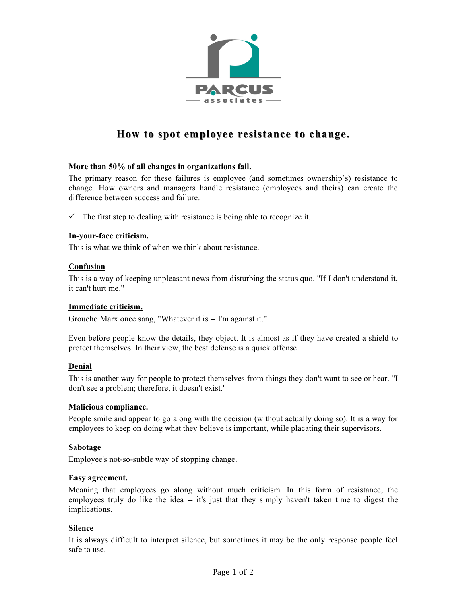

# **How to spot employee resistance to change.**

# **More than 50% of all changes in organizations fail.**

The primary reason for these failures is employee (and sometimes ownership's) resistance to change. How owners and managers handle resistance (employees and theirs) can create the difference between success and failure.

 $\checkmark$  The first step to dealing with resistance is being able to recognize it.

## **In-your-face criticism.**

This is what we think of when we think about resistance.

## **Confusion**

This is a way of keeping unpleasant news from disturbing the status quo. "If I don't understand it, it can't hurt me."

#### **Immediate criticism.**

Groucho Marx once sang, "Whatever it is -- I'm against it."

Even before people know the details, they object. It is almost as if they have created a shield to protect themselves. In their view, the best defense is a quick offense.

#### **Denial**

This is another way for people to protect themselves from things they don't want to see or hear. "I don't see a problem; therefore, it doesn't exist."

# **Malicious compliance.**

People smile and appear to go along with the decision (without actually doing so). It is a way for employees to keep on doing what they believe is important, while placating their supervisors.

#### **Sabotage**

Employee's not-so-subtle way of stopping change.

## **Easy agreement.**

Meaning that employees go along without much criticism. In this form of resistance, the employees truly do like the idea -- it's just that they simply haven't taken time to digest the implications.

# **Silence**

It is always difficult to interpret silence, but sometimes it may be the only response people feel safe to use.